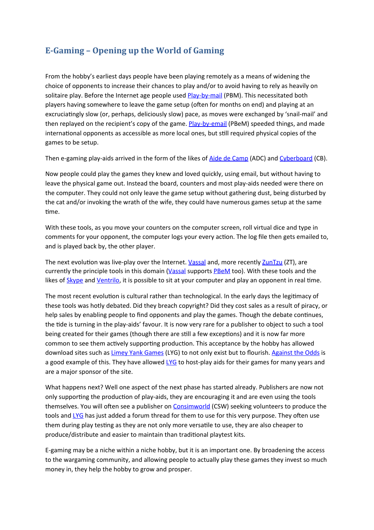# **E-Gaming – Opening up the World of Gaming**

From the hobby's earliest days people have been playing remotely as a means of widening the choice of opponents to increase their chances to play and/or to avoid having to rely as heavily on solitaire play. Before the Internet age people used Play-by-mail (PBM). This necessitated both players having somewhere to leave the game setup (often for months on end) and playing at an excruciatingly slow (or, perhaps, deliciously slow) pace, as moves were exchanged by 'snail-mail' and then replayed on the recipient's copy of the game. Play-by-email (PBeM) speeded things, and made international opponents as accessible as more local ones, but still required physical copies of the games to be setup.

Then e-gaming play-aids arrived in the form of the likes of Aide de Camp (ADC) and [Cyberboard](http://cyberboard.brainiac.com/) (CB).

Now people could play the games they knew and loved quickly, using email, but without having to leave the physical game out. Instead the board, counters and most play-aids needed were there on the computer. They could not only leave the game setup without gathering dust, being disturbed by the cat and/or invoking the wrath of the wife, they could have numerous games setup at the same time.

With these tools, as you move your counters on the computer screen, roll virtual dice and type in comments for your opponent, the computer logs your every action. The log file then gets emailed to, and is played back by, the other player.

The next evolution was live-play over the Internet. [Vassal](http://www.vassalengine.org/) and, more recently ZunTzu (ZT), are currently the principle tools in this domain (Vassal supports [PBeM](http://en.wikipedia.org/wiki/Play-by-mail_game) too). With these tools and the likes of **[Skype](http://www.skype.com/intl/en-gb/home)** and Ventrilo, it is possible to sit at your computer and play an opponent in real time.

The most recent evolution is cultural rather than technological. In the early days the legitimacy of these tools was hotly debated. Did they breach copyright? Did they cost sales as a result of piracy, or help sales by enabling people to find opponents and play the games. Though the debate continues, the tide is turning in the play-aids' favour. It is now very rare for a publisher to object to such a tool being created for their games (though there are still a few exceptions) and it is now far more common to see them actively supporting production. This acceptance by the hobby has allowed download sites such as Limey Yank Games (LYG) to not only exist but to flourish. Against the Odds is a good example of this. They have allowed  $LYG$  to host-play aids for their games for many years and are a major sponsor of the site.

What happens next? Well one aspect of the next phase has started already. Publishers are now not only supporting the production of play-aids, they are encouraging it and are even using the tools themselves. You will often see a publisher on **[Consimworld](http://talk.consimworld.com/)** (CSW) seeking volunteers to produce the tools and LYG has just added a forum thread for them to use for this very purpose. They often use them during play testing as they are not only more versatile to use, they are also cheaper to produce/distribute and easier to maintain than traditional playtest kits.

E-gaming may be a niche within a niche hobby, but it is an important one. By broadening the access to the wargaming community, and allowing people to actually play these games they invest so much money in, they help the hobby to grow and prosper.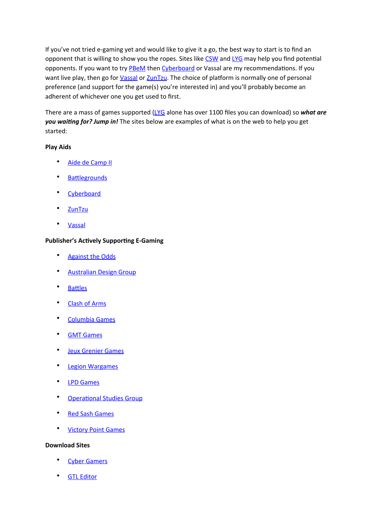If you've not tried e-gaming yet and would like to give it a go, the best way to start is to find an opponent that is willing to show you the ropes. Sites like [CSW](http://talk.consimworld.com/) and LYG may help you find potential opponents. If you want to try **PBeM** then Cyberboard or Vassal are my recommendations. If you want live play, then go for *Vassal* or **ZunTzu**. The choice of platform is normally one of personal preference (and support for the game(s) you're interested in) and you'll probably become an adherent of whichever one you get used to first.

There are a mass of games supported ([LYG](http://www.limeyyankgames.co.uk) alone has over 1100 files you can download) so *what are* you waiting for? Jump in! The sites below are examples of what is on the web to help you get started:

### **Play Aids**

- Aide de Camp II
- **Battlegrounds**
- **[Cyberboard](http://cyberboard.brainiac.com/)**
- **[ZunTzu](http://www.zuntzu.com/)**
- **[Vassal](http://www.vassalengine.org/)**

### **Publisher's Actively Supporting E-Gaming**

- Against the Odds
- Australian Design Group
- **Battles**
- **Clash of Arms**
- Columbia Games
- **GMT Games**
- **Jeux Grenier Games**
- **Legion Wargames**
- **LPD** Games
- Operational Studies Group
- Red Sash Games
- **Victory Point Games**

#### **Download Sites**

- **Cyber Gamers**
- **GTL Editor**